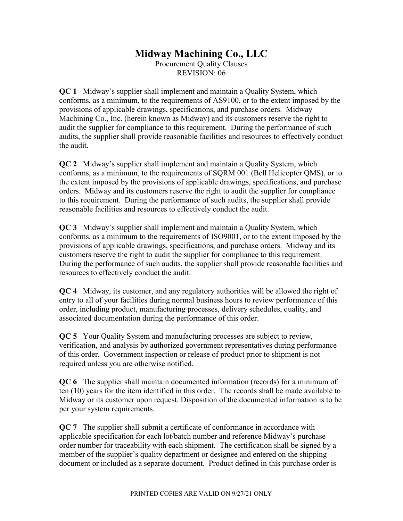## Midway Machining Co., LLC

Procurement Quality Clauses REVISION: 06

QC 1 Midway's supplier shall implement and maintain a Quality System, which conforms, as a minimum, to the requirements of AS9100, or to the extent imposed by the provisions of applicable drawings, specifications, and purchase orders. Midway Machining Co., Inc. (herein known as Midway) and its customers reserve the right to audit the supplier for compliance to this requirement. During the performance of such audits, the supplier shall provide reasonable facilities and resources to effectively conduct the audit.

QC 2 Midway's supplier shall implement and maintain a Quality System, which conforms, as a minimum, to the requirements of SQRM 001 (Bell Helicopter QMS), or to the extent imposed by the provisions of applicable drawings, specifications, and purchase orders. Midway and its customers reserve the right to audit the supplier for compliance to this requirement. During the performance of such audits, the supplier shall provide reasonable facilities and resources to effectively conduct the audit.

QC 3 Midway's supplier shall implement and maintain a Quality System, which conforms, as a minimum to the requirements of ISO9001, or to the extent imposed by the provisions of applicable drawings, specifications, and purchase orders. Midway and its customers reserve the right to audit the supplier for compliance to this requirement. During the performance of such audits, the supplier shall provide reasonable facilities and resources to effectively conduct the audit.

QC 4 Midway, its customer, and any regulatory authorities will be allowed the right of entry to all of your facilities during normal business hours to review performance of this order, including product, manufacturing processes, delivery schedules, quality, and associated documentation during the performance of this order.

QC 5 Your Quality System and manufacturing processes are subject to review, verification, and analysis by authorized government representatives during performance of this order. Government inspection or release of product prior to shipment is not required unless you are otherwise notified.

QC 6 The supplier shall maintain documented information (records) for a minimum of ten (10) years for the item identified in this order. The records shall be made available to Midway or its customer upon request. Disposition of the documented information is to be per your system requirements.

QC 7 The supplier shall submit a certificate of conformance in accordance with applicable specification for each lot/batch number and reference Midway's purchase order number for traceability with each shipment. The certification shall be signed by a member of the supplier's quality department or designee and entered on the shipping document or included as a separate document. Product defined in this purchase order is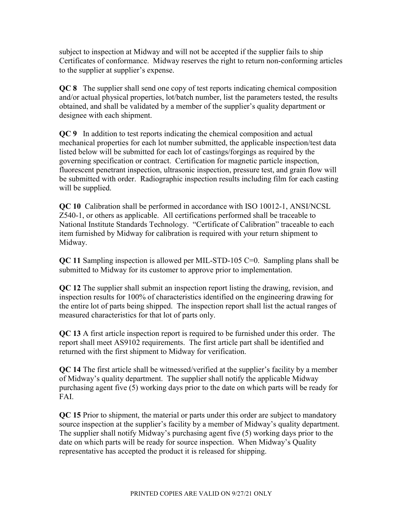subject to inspection at Midway and will not be accepted if the supplier fails to ship Certificates of conformance. Midway reserves the right to return non-conforming articles to the supplier at supplier's expense.

QC 8 The supplier shall send one copy of test reports indicating chemical composition and/or actual physical properties, lot/batch number, list the parameters tested, the results obtained, and shall be validated by a member of the supplier's quality department or designee with each shipment.

QC 9 In addition to test reports indicating the chemical composition and actual mechanical properties for each lot number submitted, the applicable inspection/test data listed below will be submitted for each lot of castings/forgings as required by the governing specification or contract. Certification for magnetic particle inspection, fluorescent penetrant inspection, ultrasonic inspection, pressure test, and grain flow will be submitted with order. Radiographic inspection results including film for each casting will be supplied.

QC 10 Calibration shall be performed in accordance with ISO 10012-1, ANSI/NCSL Z540-1, or others as applicable. All certifications performed shall be traceable to National Institute Standards Technology. "Certificate of Calibration" traceable to each item furnished by Midway for calibration is required with your return shipment to Midway.

QC 11 Sampling inspection is allowed per MIL-STD-105 C=0. Sampling plans shall be submitted to Midway for its customer to approve prior to implementation.

QC 12 The supplier shall submit an inspection report listing the drawing, revision, and inspection results for 100% of characteristics identified on the engineering drawing for the entire lot of parts being shipped. The inspection report shall list the actual ranges of measured characteristics for that lot of parts only.

QC 13 A first article inspection report is required to be furnished under this order. The report shall meet AS9102 requirements. The first article part shall be identified and returned with the first shipment to Midway for verification.

QC 14 The first article shall be witnessed/verified at the supplier's facility by a member of Midway's quality department. The supplier shall notify the applicable Midway purchasing agent five (5) working days prior to the date on which parts will be ready for FAI.

QC 15 Prior to shipment, the material or parts under this order are subject to mandatory source inspection at the supplier's facility by a member of Midway's quality department. The supplier shall notify Midway's purchasing agent five (5) working days prior to the date on which parts will be ready for source inspection. When Midway's Quality representative has accepted the product it is released for shipping.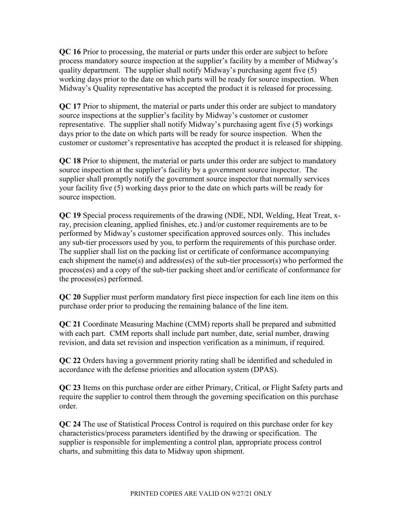QC 16 Prior to processing, the material or parts under this order are subject to before process mandatory source inspection at the supplier's facility by a member of Midway's quality department. The supplier shall notify Midway's purchasing agent five (5) working days prior to the date on which parts will be ready for source inspection. When Midway's Quality representative has accepted the product it is released for processing.

QC 17 Prior to shipment, the material or parts under this order are subject to mandatory source inspections at the supplier's facility by Midway's customer or customer representative. The supplier shall notify Midway's purchasing agent five (5) workings days prior to the date on which parts will be ready for source inspection. When the customer or customer's representative has accepted the product it is released for shipping.

QC 18 Prior to shipment, the material or parts under this order are subject to mandatory source inspection at the supplier's facility by a government source inspector. The supplier shall promptly notify the government source inspector that normally services your facility five (5) working days prior to the date on which parts will be ready for source inspection.

QC 19 Special process requirements of the drawing (NDE, NDI, Welding, Heat Treat, xray, precision cleaning, applied finishes, etc.) and/or customer requirements are to be performed by Midway's customer specification approved sources only. This includes any sub-tier processors used by you, to perform the requirements of this purchase order. The supplier shall list on the packing list or certificate of conformance accompanying each shipment the name(s) and address(es) of the sub-tier processor(s) who performed the process(es) and a copy of the sub-tier packing sheet and/or certificate of conformance for the process(es) performed.

QC 20 Supplier must perform mandatory first piece inspection for each line item on this purchase order prior to producing the remaining balance of the line item.

QC 21 Coordinate Measuring Machine (CMM) reports shall be prepared and submitted with each part. CMM reports shall include part number, date, serial number, drawing revision, and data set revision and inspection verification as a minimum, if required.

QC 22 Orders having a government priority rating shall be identified and scheduled in accordance with the defense priorities and allocation system (DPAS).

QC 23 Items on this purchase order are either Primary, Critical, or Flight Safety parts and require the supplier to control them through the governing specification on this purchase order.

QC 24 The use of Statistical Process Control is required on this purchase order for key characteristics/process parameters identified by the drawing or specification. The supplier is responsible for implementing a control plan, appropriate process control charts, and submitting this data to Midway upon shipment.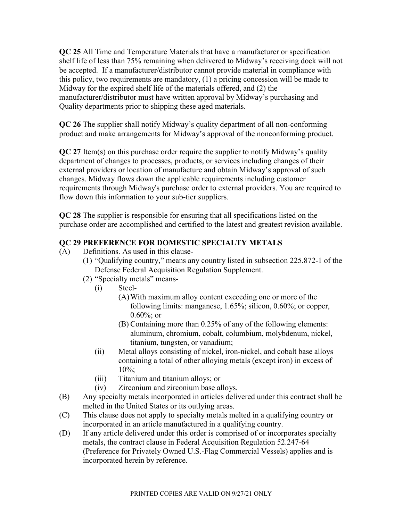QC 25 All Time and Temperature Materials that have a manufacturer or specification shelf life of less than 75% remaining when delivered to Midway's receiving dock will not be accepted. If a manufacturer/distributor cannot provide material in compliance with this policy, two requirements are mandatory, (1) a pricing concession will be made to Midway for the expired shelf life of the materials offered, and (2) the manufacturer/distributor must have written approval by Midway's purchasing and Quality departments prior to shipping these aged materials.

QC 26 The supplier shall notify Midway's quality department of all non-conforming product and make arrangements for Midway's approval of the nonconforming product.

QC 27 Item(s) on this purchase order require the supplier to notify Midway's quality department of changes to processes, products, or services including changes of their external providers or location of manufacture and obtain Midway's approval of such changes. Midway flows down the applicable requirements including customer requirements through Midway's purchase order to external providers. You are required to flow down this information to your sub-tier suppliers.

QC 28 The supplier is responsible for ensuring that all specifications listed on the purchase order are accomplished and certified to the latest and greatest revision available.

## QC 29 PREFERENCE FOR DOMESTIC SPECIALTY METALS

- (A) Definitions. As used in this clause-
	- (1) "Qualifying country," means any country listed in subsection 225.872-1 of the Defense Federal Acquisition Regulation Supplement.
	- (2) "Specialty metals" means-
		- (i) Steel-
			- (A)With maximum alloy content exceeding one or more of the following limits: manganese, 1.65%; silicon, 0.60%; or copper, 0.60%; or
			- (B) Containing more than 0.25% of any of the following elements: aluminum, chromium, cobalt, columbium, molybdenum, nickel, titanium, tungsten, or vanadium;
		- (ii) Metal alloys consisting of nickel, iron-nickel, and cobalt base alloys containing a total of other alloying metals (except iron) in excess of 10%;
		- (iii) Titanium and titanium alloys; or
		- (iv) Zirconium and zirconium base alloys.
- (B) Any specialty metals incorporated in articles delivered under this contract shall be melted in the United States or its outlying areas.
- (C) This clause does not apply to specialty metals melted in a qualifying country or incorporated in an article manufactured in a qualifying country.
- (D) If any article delivered under this order is comprised of or incorporates specialty metals, the contract clause in Federal Acquisition Regulation 52.247-64 (Preference for Privately Owned U.S.-Flag Commercial Vessels) applies and is incorporated herein by reference.